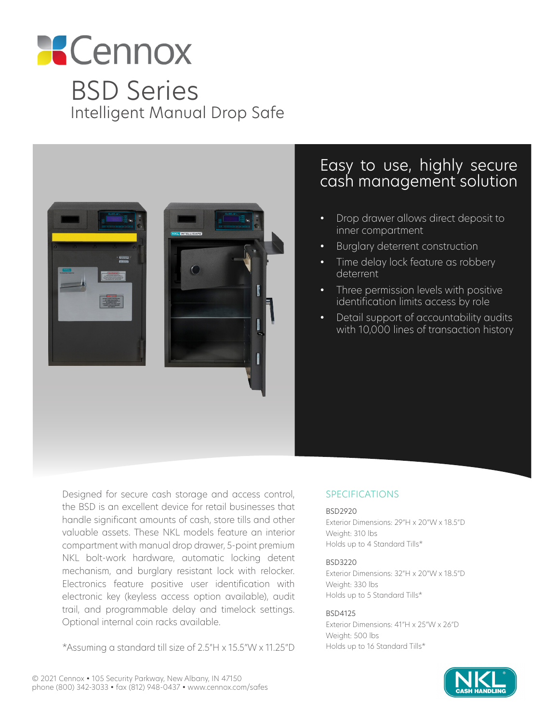# **Cennox** BSD Series Intelligent Manual Drop Safe



### Easy to use, highly secure cash management solution

- Drop drawer allows direct deposit to inner compartment
- Burglary deterrent construction
- Time delay lock feature as robbery deterrent
- Three permission levels with positive identification limits access by role
- Detail support of accountability audits with 10,000 lines of transaction history

Designed for secure cash storage and access control, the BSD is an excellent device for retail businesses that handle significant amounts of cash, store tills and other valuable assets. These NKL models feature an interior compartment with manual drop drawer, 5-point premium NKL bolt-work hardware, automatic locking detent mechanism, and burglary resistant lock with relocker. Electronics feature positive user identification with electronic key (keyless access option available), audit trail, and programmable delay and timelock settings. Optional internal coin racks available.

\*Assuming a standard till size of 2.5"H x 15.5"W x 11.25"D

#### SPECIFICATIONS

#### BSD2920

Exterior Dimensions: 29"H x 20"W x 18.5"D Weight: 310 lbs Holds up to 4 Standard Tills\*

#### BSD3220

Exterior Dimensions: 32"H x 20"W x 18.5"D Weight: 330 lbs Holds up to 5 Standard Tills\*

#### BSD4125

Exterior Dimensions: 41"H x 25"W x 26"D Weight: 500 lbs Holds up to 16 Standard Tills\*